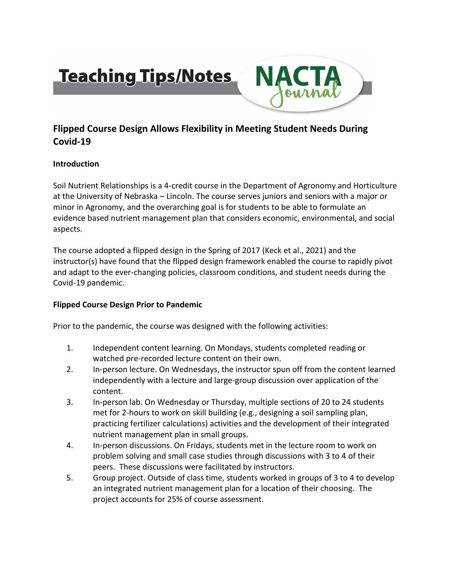# **Teaching Tips/Notes**



# **Flipped Course Design Allows Flexibility in Meeting Student Needs During Covid-19**

# **Introduction**

Soil Nutrient Relationships is a 4-credit course in the Department of Agronomy and Horticulture at the University of Nebraska – Lincoln. The course serves juniors and seniors with a major or minor in Agronomy, and the overarching goal is for students to be able to formulate an evidence based nutrient management plan that considers economic, environmental, and social aspects.

The course adopted a flipped design in the Spring of 2017 (Keck et al., 2021) and the instructor(s) have found that the flipped design framework enabled the course to rapidly pivot and adapt to the ever-changing policies, classroom conditions, and student needs during the Covid-19 pandemic.

# **Flipped Course Design Prior to Pandemic**

Prior to the pandemic, the course was designed with the following activities:

- 1. Independent content learning. On Mondays, students completed reading or watched pre-recorded lecture content on their own.
- 2. In-person lecture. On Wednesdays, the instructor spun off from the content learned independently with a lecture and large-group discussion over application of the content.
- 3. In-person lab. On Wednesday or Thursday, multiple sections of 20 to 24 students met for 2-hours to work on skill building (e.g., designing a soil sampling plan, practicing fertilizer calculations) activities and the development of their integrated nutrient management plan in small groups.
- 4. In-person discussions. On Fridays, students met in the lecture room to work on problem solving and small case studies through discussions with 3 to 4 of their peers. These discussions were facilitated by instructors.
- 5. Group project. Outside of class time, students worked in groups of 3 to 4 to develop an integrated nutrient management plan for a location of their choosing. The project accounts for 25% of course assessment.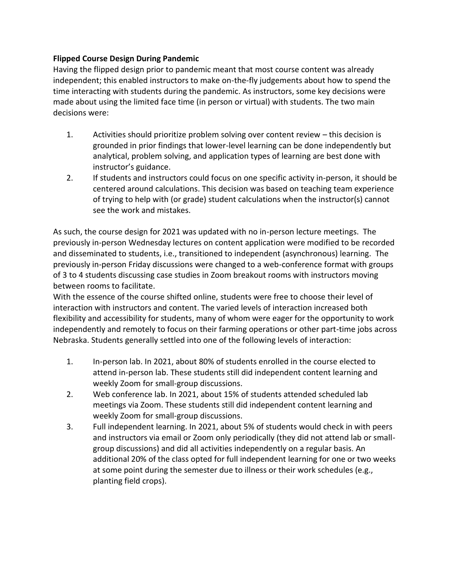#### **Flipped Course Design During Pandemic**

Having the flipped design prior to pandemic meant that most course content was already independent; this enabled instructors to make on-the-fly judgements about how to spend the time interacting with students during the pandemic. As instructors, some key decisions were made about using the limited face time (in person or virtual) with students. The two main decisions were:

- 1. Activities should prioritize problem solving over content review this decision is grounded in prior findings that lower-level learning can be done independently but analytical, problem solving, and application types of learning are best done with instructor's guidance.
- 2. If students and instructors could focus on one specific activity in-person, it should be centered around calculations. This decision was based on teaching team experience of trying to help with (or grade) student calculations when the instructor(s) cannot see the work and mistakes.

As such, the course design for 2021 was updated with no in-person lecture meetings. The previously in-person Wednesday lectures on content application were modified to be recorded and disseminated to students, i.e., transitioned to independent (asynchronous) learning. The previously in-person Friday discussions were changed to a web-conference format with groups of 3 to 4 students discussing case studies in Zoom breakout rooms with instructors moving between rooms to facilitate.

With the essence of the course shifted online, students were free to choose their level of interaction with instructors and content. The varied levels of interaction increased both flexibility and accessibility for students, many of whom were eager for the opportunity to work independently and remotely to focus on their farming operations or other part-time jobs across Nebraska. Students generally settled into one of the following levels of interaction:

- 1. In-person lab. In 2021, about 80% of students enrolled in the course elected to attend in-person lab. These students still did independent content learning and weekly Zoom for small-group discussions.
- 2. Web conference lab. In 2021, about 15% of students attended scheduled lab meetings via Zoom. These students still did independent content learning and weekly Zoom for small-group discussions.
- 3. Full independent learning. In 2021, about 5% of students would check in with peers and instructors via email or Zoom only periodically (they did not attend lab or smallgroup discussions) and did all activities independently on a regular basis. An additional 20% of the class opted for full independent learning for one or two weeks at some point during the semester due to illness or their work schedules (e.g., planting field crops).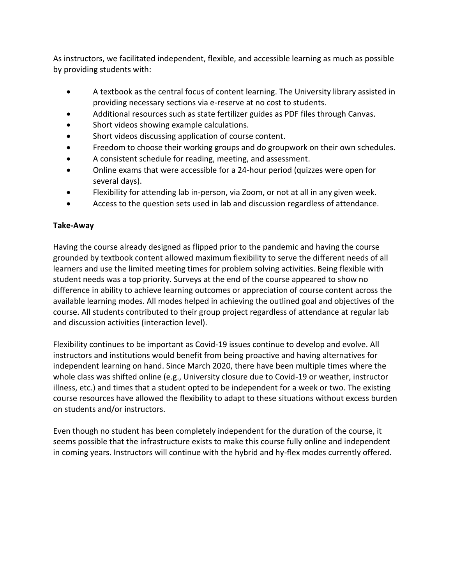As instructors, we facilitated independent, flexible, and accessible learning as much as possible by providing students with:

- A textbook as the central focus of content learning. The University library assisted in providing necessary sections via e-reserve at no cost to students.
- Additional resources such as state fertilizer guides as PDF files through Canvas.
- Short videos showing example calculations.
- Short videos discussing application of course content.
- Freedom to choose their working groups and do groupwork on their own schedules.
- A consistent schedule for reading, meeting, and assessment.
- Online exams that were accessible for a 24-hour period (quizzes were open for several days).
- Flexibility for attending lab in-person, via Zoom, or not at all in any given week.
- Access to the question sets used in lab and discussion regardless of attendance.

# **Take-Away**

Having the course already designed as flipped prior to the pandemic and having the course grounded by textbook content allowed maximum flexibility to serve the different needs of all learners and use the limited meeting times for problem solving activities. Being flexible with student needs was a top priority. Surveys at the end of the course appeared to show no difference in ability to achieve learning outcomes or appreciation of course content across the available learning modes. All modes helped in achieving the outlined goal and objectives of the course. All students contributed to their group project regardless of attendance at regular lab and discussion activities (interaction level).

Flexibility continues to be important as Covid-19 issues continue to develop and evolve. All instructors and institutions would benefit from being proactive and having alternatives for independent learning on hand. Since March 2020, there have been multiple times where the whole class was shifted online (e.g., University closure due to Covid-19 or weather, instructor illness, etc.) and times that a student opted to be independent for a week or two. The existing course resources have allowed the flexibility to adapt to these situations without excess burden on students and/or instructors.

Even though no student has been completely independent for the duration of the course, it seems possible that the infrastructure exists to make this course fully online and independent in coming years. Instructors will continue with the hybrid and hy-flex modes currently offered.